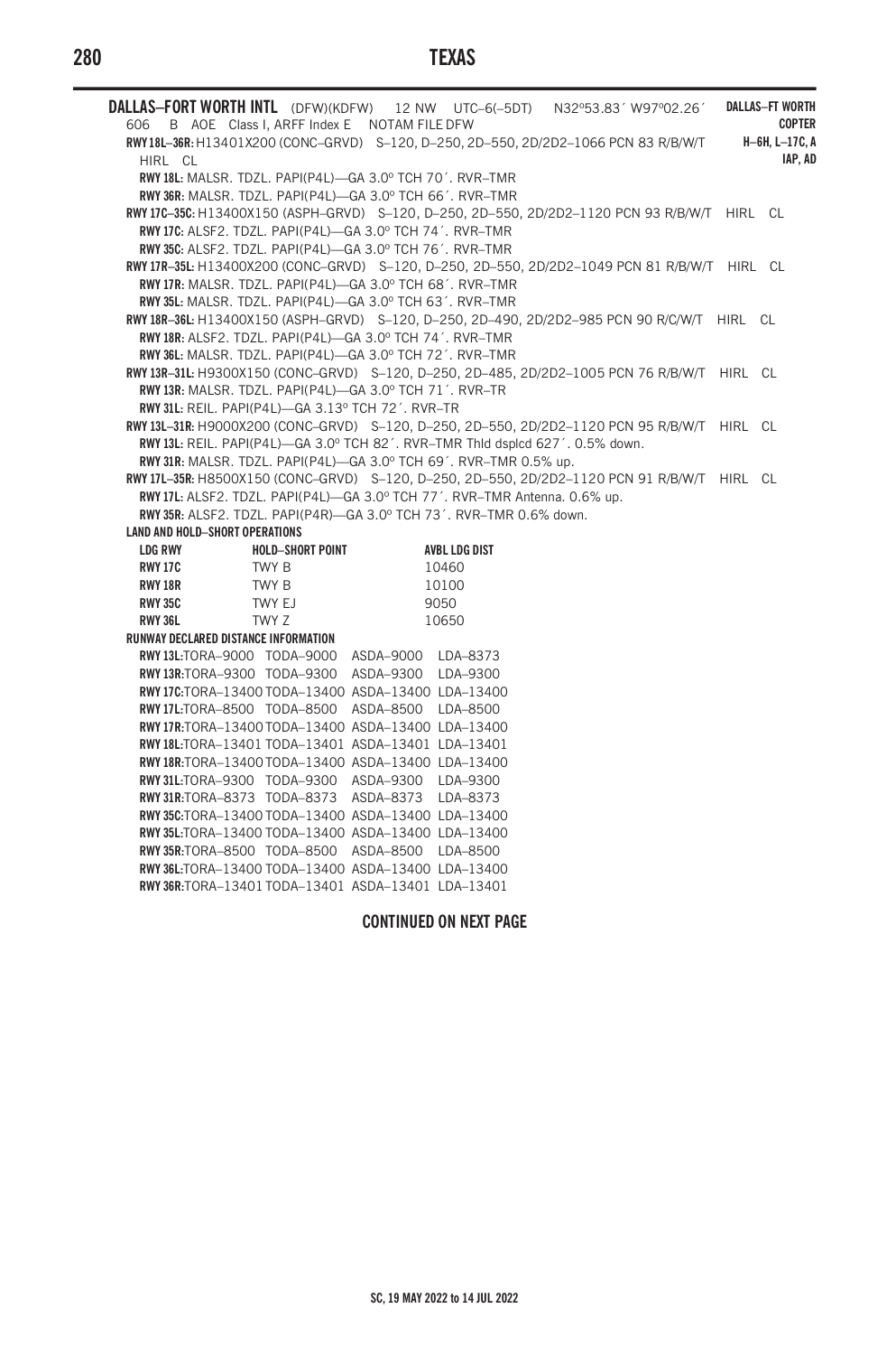# **280 TEXAS**

|                                                                                                                                                        |                  |  |                      | DALLAS-FORT WORTH INTL (DFW)(KDFW) 12 NW UTC-6(-5DT) N32°53.83' W97°02.26'                   |               | <b>DALLAS-FT WORTH</b> |
|--------------------------------------------------------------------------------------------------------------------------------------------------------|------------------|--|----------------------|----------------------------------------------------------------------------------------------|---------------|------------------------|
| 606 B AOE Class I, ARFF Index E NOTAM FILE DFW                                                                                                         |                  |  |                      |                                                                                              | <b>COPTER</b> |                        |
| RWY18L-36R: H13401X200 (CONC-GRVD) S-120, D-250, 2D-550, 2D/2D2-1066 PCN 83 R/B/W/T                                                                    |                  |  |                      |                                                                                              |               | H-6H, L-17C, A         |
| HIRL CL                                                                                                                                                |                  |  |                      |                                                                                              |               | IAP. AD                |
| RWY 18L: MALSR. TDZL. PAPI(P4L)-GA 3.0° TCH 70'. RVR-TMR                                                                                               |                  |  |                      |                                                                                              |               |                        |
| RWY 36R: MALSR, TDZL, PAPI(P4L)-GA 3.0° TCH 66', RVR-TMR                                                                                               |                  |  |                      |                                                                                              |               |                        |
|                                                                                                                                                        |                  |  |                      | RWY 17C-35C: H13400X150 (ASPH-GRVD) S-120, D-250, 2D-550, 2D/2D2-1120 PCN 93 R/B/W/T HIRL CL |               |                        |
| RWY 17C: ALSF2, TDZL, PAPI(P4L)-GA 3.0° TCH 74', RVR-TMR                                                                                               |                  |  |                      |                                                                                              |               |                        |
| RWY 35C: ALSF2, TDZL, PAPI(P4L)-GA 3.0° TCH 76', RVR-TMR                                                                                               |                  |  |                      |                                                                                              |               |                        |
|                                                                                                                                                        |                  |  |                      | RWY 17R-35L: H13400X200 (CONC-GRVD) S-120, D-250, 2D-550, 2D/2D2-1049 PCN 81 R/B/W/T HIRL CL |               |                        |
| RWY 17R: MALSR. TDZL. PAPI(P4L)-GA 3.0° TCH 68'. RVR-TMR                                                                                               |                  |  |                      |                                                                                              |               |                        |
| RWY 35L: MALSR. TDZL. PAPI(P4L)-GA 3.0° TCH 63'. RVR-TMR<br>RWY18R-36L: H13400X150 (ASPH-GRVD) S-120, D-250, 2D-490, 2D/2D2-985 PCN 90 R/C/W/T HIRL CL |                  |  |                      |                                                                                              |               |                        |
| RWY 18R: ALSF2. TDZL. PAPI(P4L)-GA 3.0° TCH 74'. RVR-TMR                                                                                               |                  |  |                      |                                                                                              |               |                        |
| RWY 36L: MALSR, TDZL, PAPI(P4L)-GA 3.0° TCH 72', RVR-TMR                                                                                               |                  |  |                      |                                                                                              |               |                        |
|                                                                                                                                                        |                  |  |                      | RWY 13R-31L: H9300X150 (CONC-GRVD) S-120, D-250, 2D-485, 2D/2D2-1005 PCN 76 R/B/W/T HIRL CL  |               |                        |
| RWY 13R: MALSR. TDZL. PAPI(P4L)-GA 3.0° TCH 71'. RVR-TR                                                                                                |                  |  |                      |                                                                                              |               |                        |
| RWY 31L: REIL. PAPI(P4L)-GA 3.13° TCH 72'. RVR-TR                                                                                                      |                  |  |                      |                                                                                              |               |                        |
|                                                                                                                                                        |                  |  |                      | RWY 13L-31R: H9000X200 (CONC-GRVD) S-120, D-250, 2D-550, 2D/2D2-1120 PCN 95 R/B/W/T HIRL CL  |               |                        |
| RWY 13L: REIL. PAPI(P4L)-GA 3.0° TCH 82'. RVR-TMR Thid dspicd 627'. 0.5% down.                                                                         |                  |  |                      |                                                                                              |               |                        |
| RWY 31R: MALSR. TDZL. PAPI(P4L)-GA 3.0° TCH 69'. RVR-TMR 0.5% up.                                                                                      |                  |  |                      |                                                                                              |               |                        |
|                                                                                                                                                        |                  |  |                      | RWY 17L-35R: H8500X150 (CONC-GRVD) S-120, D-250, 2D-550, 2D/2D2-1120 PCN 91 R/B/W/T HIRL CL  |               |                        |
| RWY 17L: ALSF2. TDZL. PAPI(P4L)-GA 3.0° TCH 77'. RVR-TMR Antenna. 0.6% up.                                                                             |                  |  |                      |                                                                                              |               |                        |
| RWY 35R: ALSF2, TDZL, PAPI(P4R)-GA 3.0° TCH 73', RVR-TMR 0.6% down.                                                                                    |                  |  |                      |                                                                                              |               |                        |
| <b>LAND AND HOLD-SHORT OPERATIONS</b>                                                                                                                  |                  |  |                      |                                                                                              |               |                        |
| <b>LDG RWY</b>                                                                                                                                         | HOLD-SHORT POINT |  | <b>AVBL LDG DIST</b> |                                                                                              |               |                        |
| RWY 17C TWY B                                                                                                                                          |                  |  | 10460                |                                                                                              |               |                        |
| <b>RWY 18R</b>                                                                                                                                         | TWY B            |  | 10100                |                                                                                              |               |                        |
| RWY 35C TWY EJ                                                                                                                                         |                  |  | 9050                 |                                                                                              |               |                        |
| TWY Z<br><b>RWY 36L</b>                                                                                                                                |                  |  | 10650                |                                                                                              |               |                        |
| RUNWAY DECLARED DISTANCE INFORMATION                                                                                                                   |                  |  |                      |                                                                                              |               |                        |
| RWY 13L:TORA-9000 TODA-9000 ASDA-9000 LDA-8373                                                                                                         |                  |  |                      |                                                                                              |               |                        |
| <b>RWY 13R:TORA-9300 TODA-9300 ASDA-9300 LDA-9300</b>                                                                                                  |                  |  |                      |                                                                                              |               |                        |
| RWY 17C:TORA-13400 TODA-13400 ASDA-13400 LDA-13400                                                                                                     |                  |  |                      |                                                                                              |               |                        |
| RWY 17L:TORA-8500 TODA-8500 ASDA-8500 LDA-8500                                                                                                         |                  |  |                      |                                                                                              |               |                        |
| RWY 17R:TORA-13400 TODA-13400 ASDA-13400 LDA-13400                                                                                                     |                  |  |                      |                                                                                              |               |                        |
| RWY18L:TORA-13401 TODA-13401 ASDA-13401 LDA-13401                                                                                                      |                  |  |                      |                                                                                              |               |                        |
| RWY 18R:TORA-13400 TODA-13400 ASDA-13400 LDA-13400                                                                                                     |                  |  |                      |                                                                                              |               |                        |
| RWY 31L:TORA-9300 TODA-9300 ASDA-9300 LDA-9300                                                                                                         |                  |  |                      |                                                                                              |               |                        |
| RWY 31R:TORA-8373 TODA-8373 ASDA-8373 LDA-8373                                                                                                         |                  |  |                      |                                                                                              |               |                        |
| RWY 35C:TORA-13400 TODA-13400 ASDA-13400 LDA-13400                                                                                                     |                  |  |                      |                                                                                              |               |                        |
| RWY 35L:TORA-13400 TODA-13400 ASDA-13400 LDA-13400                                                                                                     |                  |  |                      |                                                                                              |               |                        |
| RWY 35R:TORA-8500 TODA-8500 ASDA-8500 LDA-8500                                                                                                         |                  |  |                      |                                                                                              |               |                        |
| RWY 36L:TORA-13400 TODA-13400 ASDA-13400 LDA-13400                                                                                                     |                  |  |                      |                                                                                              |               |                        |

## **CONTINUED ON NEXT PAGE**

**RWY 36R:**TORA–13401 TODA–13401 ASDA–13401 LDA–13401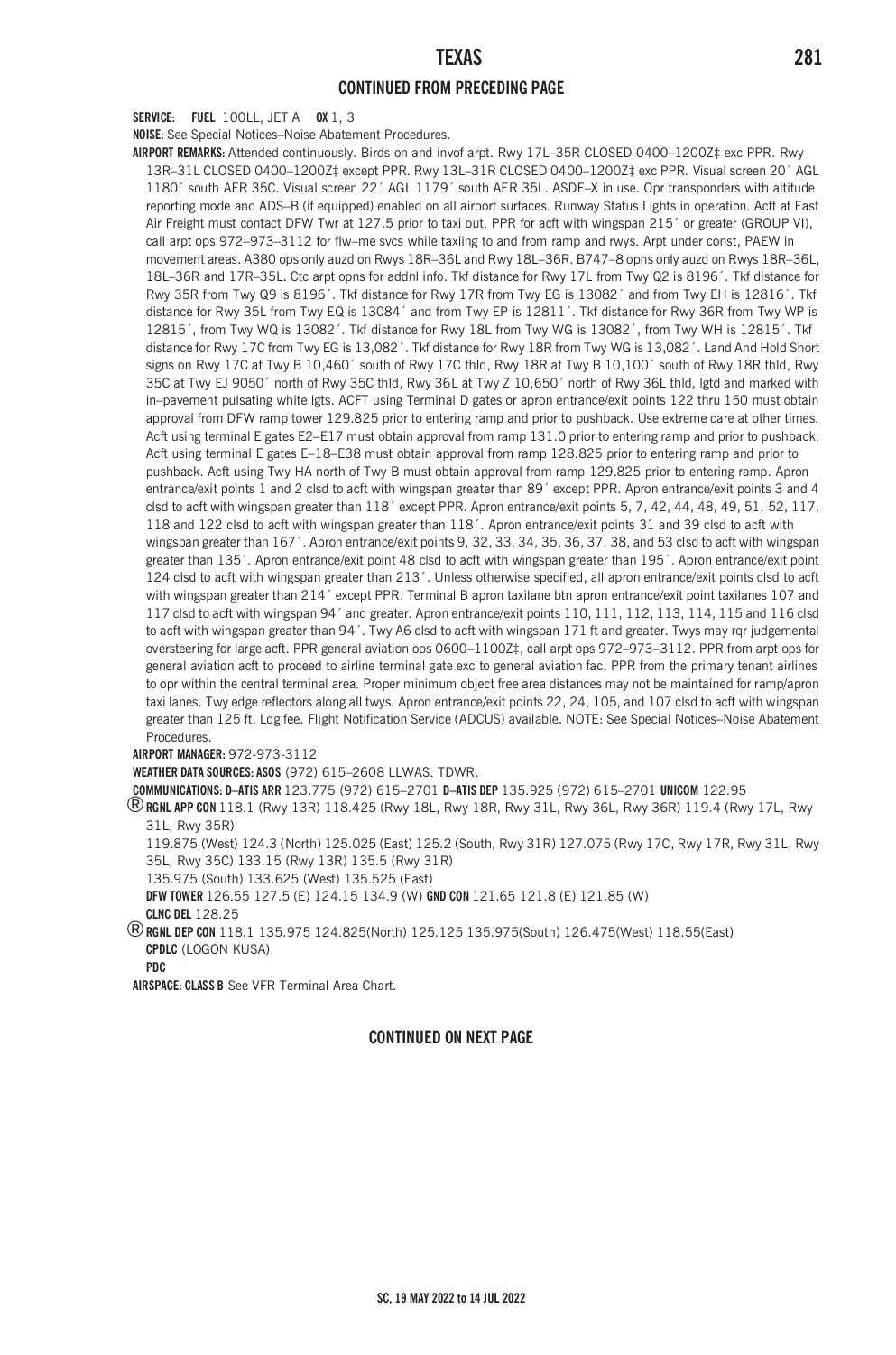### **CONTINUED FROM PRECEDING PAGE**

**SERVICE: FUEL** 100LL, JET A **OX** 1, 3

**NOISE:** See Special Notices–Noise Abatement Procedures.

**AIRPORT REMARKS:** Attended continuously. Birds on and invof arpt. Rwy 17L–35R CLOSED 0400–1200Z‡ exc PPR. Rwy 13R–31L CLOSED 0400–1200Z‡ except PPR. Rwy 13L–31R CLOSED 0400–1200Z‡ exc PPR. Visual screen 20´ AGL 1180´ south AER 35C. Visual screen 22´ AGL 1179´ south AER 35L. ASDE–X in use. Opr transponders with altitude reporting mode and ADS–B (if equipped) enabled on all airport surfaces. Runway Status Lights in operation. Acft at East Air Freight must contact DFW Twr at 127.5 prior to taxi out. PPR for acft with wingspan 215´ or greater (GROUP VI), call arpt ops 972–973–3112 for flw–me svcs while taxiing to and from ramp and rwys. Arpt under const, PAEW in movement areas. A380 ops only auzd on Rwys 18R–36L and Rwy 18L–36R. B747–8 opns only auzd on Rwys 18R–36L, 18L–36R and 17R–35L. Ctc arpt opns for addnl info. Tkf distance for Rwy 17L from Twy Q2 is 8196´. Tkf distance for Rwy 35R from Twy Q9 is 8196´. Tkf distance for Rwy 17R from Twy EG is 13082´ and from Twy EH is 12816´. Tkf distance for Rwy 35L from Twy EQ is 13084´ and from Twy EP is 12811´. Tkf distance for Rwy 36R from Twy WP is 12815´, from Twy WQ is 13082´. Tkf distance for Rwy 18L from Twy WG is 13082´, from Twy WH is 12815´. Tkf distance for Rwy 17C from Twy EG is 13,082'. Tkf distance for Rwy 18R from Twy WG is 13,082'. Land And Hold Short signs on Rwy 17C at Twy B 10,460´ south of Rwy 17C thld, Rwy 18R at Twy B 10,100´ south of Rwy 18R thld, Rwy 35C at Twy EJ 9050´ north of Rwy 35C thld, Rwy 36L at Twy Z 10,650´ north of Rwy 36L thld, lgtd and marked with in–pavement pulsating white lgts. ACFT using Terminal D gates or apron entrance/exit points 122 thru 150 must obtain approval from DFW ramp tower 129.825 prior to entering ramp and prior to pushback. Use extreme care at other times. Acft using terminal E gates E2–E17 must obtain approval from ramp 131.0 prior to entering ramp and prior to pushback. Acft using terminal E gates E–18–E38 must obtain approval from ramp 128.825 prior to entering ramp and prior to pushback. Acft using Twy HA north of Twy B must obtain approval from ramp 129.825 prior to entering ramp. Apron entrance/exit points 1 and 2 clsd to acft with wingspan greater than 89´ except PPR. Apron entrance/exit points 3 and 4 clsd to acft with wingspan greater than 118<sup>'</sup> except PPR. Apron entrance/exit points 5, 7, 42, 44, 48, 49, 51, 52, 117, 118 and 122 clsd to acft with wingspan greater than 118´. Apron entrance/exit points 31 and 39 clsd to acft with wingspan greater than 167´. Apron entrance/exit points 9, 32, 33, 34, 35, 36, 37, 38, and 53 clsd to acft with wingspan greater than 135´. Apron entrance/exit point 48 clsd to acft with wingspan greater than 195´. Apron entrance/exit point 124 clsd to acft with wingspan greater than 213´. Unless otherwise specified, all apron entrance/exit points clsd to acft with wingspan greater than 214´ except PPR. Terminal B apron taxilane btn apron entrance/exit point taxilanes 107 and 117 clsd to acft with wingspan 94´ and greater. Apron entrance/exit points 110, 111, 112, 113, 114, 115 and 116 clsd to acft with wingspan greater than 94'. Twy A6 clsd to acft with wingspan 171 ft and greater. Twys may rqr judgemental oversteering for large acft. PPR general aviation ops 0600–1100Z‡, call arpt ops 972–973–3112. PPR from arpt ops for general aviation acft to proceed to airline terminal gate exc to general aviation fac. PPR from the primary tenant airlines to opr within the central terminal area. Proper minimum object free area distances may not be maintained for ramp/apron taxi lanes. Twy edge reflectors along all twys. Apron entrance/exit points 22, 24, 105, and 107 clsd to acft with wingspan greater than 125 ft. Ldg fee. Flight Notification Service (ADCUS) available. NOTE: See Special Notices–Noise Abatement Procedures.

**AIRPORT MANAGER:** 972-973-3112

**WEATHER DATA SOURCES: ASOS** (972) 615–2608 LLWAS. TDWR.

**COMMUNICATIONS: D–ATIS ARR** 123.775 (972) 615–2701 **D–ATIS DEP** 135.925 (972) 615–2701 **UNICOM** 122.95

®**RGNL APP CON** 118.1 (Rwy 13R) 118.425 (Rwy 18L, Rwy 18R, Rwy 31L, Rwy 36L, Rwy 36R) 119.4 (Rwy 17L, Rwy 31L, Rwy 35R)

119.875 (West) 124.3 (North) 125.025 (East) 125.2 (South, Rwy 31R) 127.075 (Rwy 17C, Rwy 17R, Rwy 31L, Rwy 35L, Rwy 35C) 133.15 (Rwy 13R) 135.5 (Rwy 31R)

135.975 (South) 133.625 (West) 135.525 (East)

**DFW TOWER** 126.55 127.5 (E) 124.15 134.9 (W) **GND CON** 121.65 121.8 (E) 121.85 (W)

**CLNC DEL** 128.25

®**RGNL DEP CON** 118.1 135.975 124.825(North) 125.125 135.975(South) 126.475(West) 118.55(East) **CPDLC** (LOGON KUSA)

**PDC**

**AIRSPACE: CLASS B** See VFR Terminal Area Chart.

#### **CONTINUED ON NEXT PAGE**